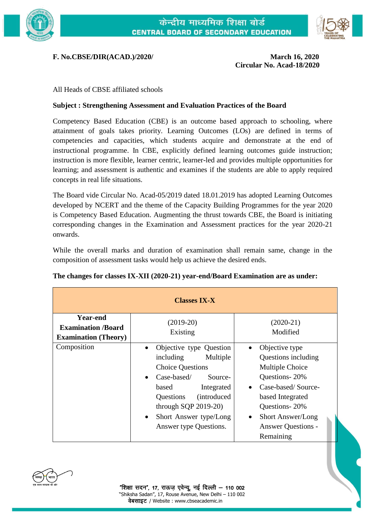



## **F. No.CBSE/DIR(ACAD.)/2020/ March 16, 2020**

**Circular No. Acad-18/2020**

## All Heads of CBSE affiliated schools

## **Subject : Strengthening Assessment and Evaluation Practices of the Board**

Competency Based Education (CBE) is an outcome based approach to schooling, where attainment of goals takes priority. Learning Outcomes (LOs) are defined in terms of competencies and capacities, which students acquire and demonstrate at the end of instructional programme. In CBE, explicitly defined learning outcomes guide instruction; instruction is more flexible, learner centric, learner-led and provides multiple opportunities for learning; and assessment is authentic and examines if the students are able to apply required concepts in real life situations.

The Board vide Circular No. Acad-05/2019 dated 18.01.2019 has adopted Learning Outcomes developed by NCERT and the theme of the Capacity Building Programmes for the year 2020 is Competency Based Education. Augmenting the thrust towards CBE, the Board is initiating corresponding changes in the Examination and Assessment practices for the year 2020-21 onwards.

While the overall marks and duration of examination shall remain same, change in the composition of assessment tasks would help us achieve the desired ends.

| <b>Classes IX-X</b>                                                         |                                                                                                                                                                                                                                                                      |                                                                                                                                                                                                                         |
|-----------------------------------------------------------------------------|----------------------------------------------------------------------------------------------------------------------------------------------------------------------------------------------------------------------------------------------------------------------|-------------------------------------------------------------------------------------------------------------------------------------------------------------------------------------------------------------------------|
| <b>Year-end</b><br><b>Examination /Board</b><br><b>Examination (Theory)</b> | $(2019-20)$<br>Existing                                                                                                                                                                                                                                              | $(2020-21)$<br>Modified                                                                                                                                                                                                 |
| Composition                                                                 | Objective type Question<br>including<br>Multiple<br><b>Choice Questions</b><br>$\text{Case-based}$<br>Source-<br>based<br>Integrated<br><i>(introduced)</i><br>Questions<br>through SQP $2019-20$ )<br>Short Answer type/Long<br>$\bullet$<br>Answer type Questions. | Objective type<br>Questions including<br>Multiple Choice<br>Questions-20%<br>Case-based/Source-<br>based Integrated<br>Questions-20%<br><b>Short Answer/Long</b><br>$\bullet$<br><b>Answer Questions -</b><br>Remaining |

**The changes for classes IX-XII (2020-21) year-end/Board Examination are as under:**

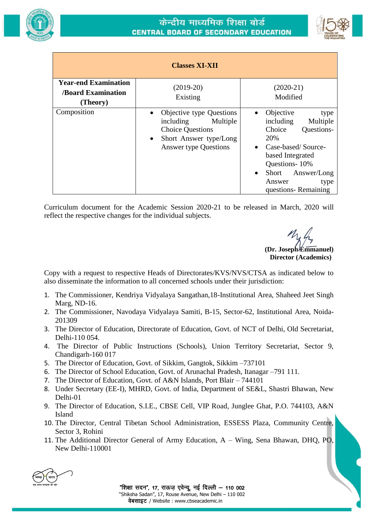



| <b>Classes XI-XII</b>                                               |                                                                                                                                                                  |                                                                                                                                                                                                                                              |  |
|---------------------------------------------------------------------|------------------------------------------------------------------------------------------------------------------------------------------------------------------|----------------------------------------------------------------------------------------------------------------------------------------------------------------------------------------------------------------------------------------------|--|
| <b>Year-end Examination</b><br><b>Board Examination</b><br>(Theory) | $(2019-20)$<br>Existing                                                                                                                                          | $(2020-21)$<br>Modified                                                                                                                                                                                                                      |  |
| Composition                                                         | Objective type Questions<br>$\bullet$<br>Multiple<br>including<br><b>Choice Questions</b><br>Short Answer type/Long<br>$\bullet$<br><b>Answer type Questions</b> | Objective<br>type<br>$\bullet$<br>including<br>Multiple<br>Choice<br>Questions-<br>20%<br>Case-based/Source-<br>$\bullet$<br>based Integrated<br>Questions-10%<br>Short<br>Answer/Long<br>$\bullet$<br>Answer<br>type<br>questions-Remaining |  |

Curriculum document for the Academic Session 2020-21 to be released in March, 2020 will reflect the respective changes for the individual subjects.

**(Dr. Joseph Emmanuel) Director (Academics)** 

Copy with a request to respective Heads of Directorates/KVS/NVS/CTSA as indicated below to also disseminate the information to all concerned schools under their jurisdiction:

- 1. The Commissioner, Kendriya Vidyalaya Sangathan,18-Institutional Area, Shaheed Jeet Singh Marg, ND-16.
- 2. The Commissioner, Navodaya Vidyalaya Samiti, B-15, Sector-62, Institutional Area, Noida-201309
- 3. The Director of Education, Directorate of Education, Govt. of NCT of Delhi, Old Secretariat, Delhi-110 054.
- 4. The Director of Public Instructions (Schools), Union Territory Secretariat, Sector 9, Chandigarh-160 017
- 5. The Director of Education, Govt. of Sikkim, Gangtok, Sikkim –737101
- 6. The Director of School Education, Govt. of Arunachal Pradesh, Itanagar –791 111.
- 7. The Director of Education, Govt. of A&N Islands, Port Blair 744101
- 8. Under Secretary (EE-I), MHRD, Govt. of India, Department of SE&L, Shastri Bhawan, New Delhi-01
- 9. The Director of Education, S.I.E., CBSE Cell, VIP Road, Junglee Ghat, P.O. 744103, A&N Island
- 10. The Director, Central Tibetan School Administration, ESSESS Plaza, Community Centre, Sector 3, Rohini
- 11. The Additional Director General of Army Education, A Wing, Sena Bhawan, DHQ, PO, New Delhi-110001

"शिक्षा सदन", 17, राऊज एवेन्यू, नई दिल्ली – 110 002 "Shiksha Sadan", 17, Rouse Avenue, New Delhi – 110 002 वेबसाइट / Website : www.cbseacademic.in